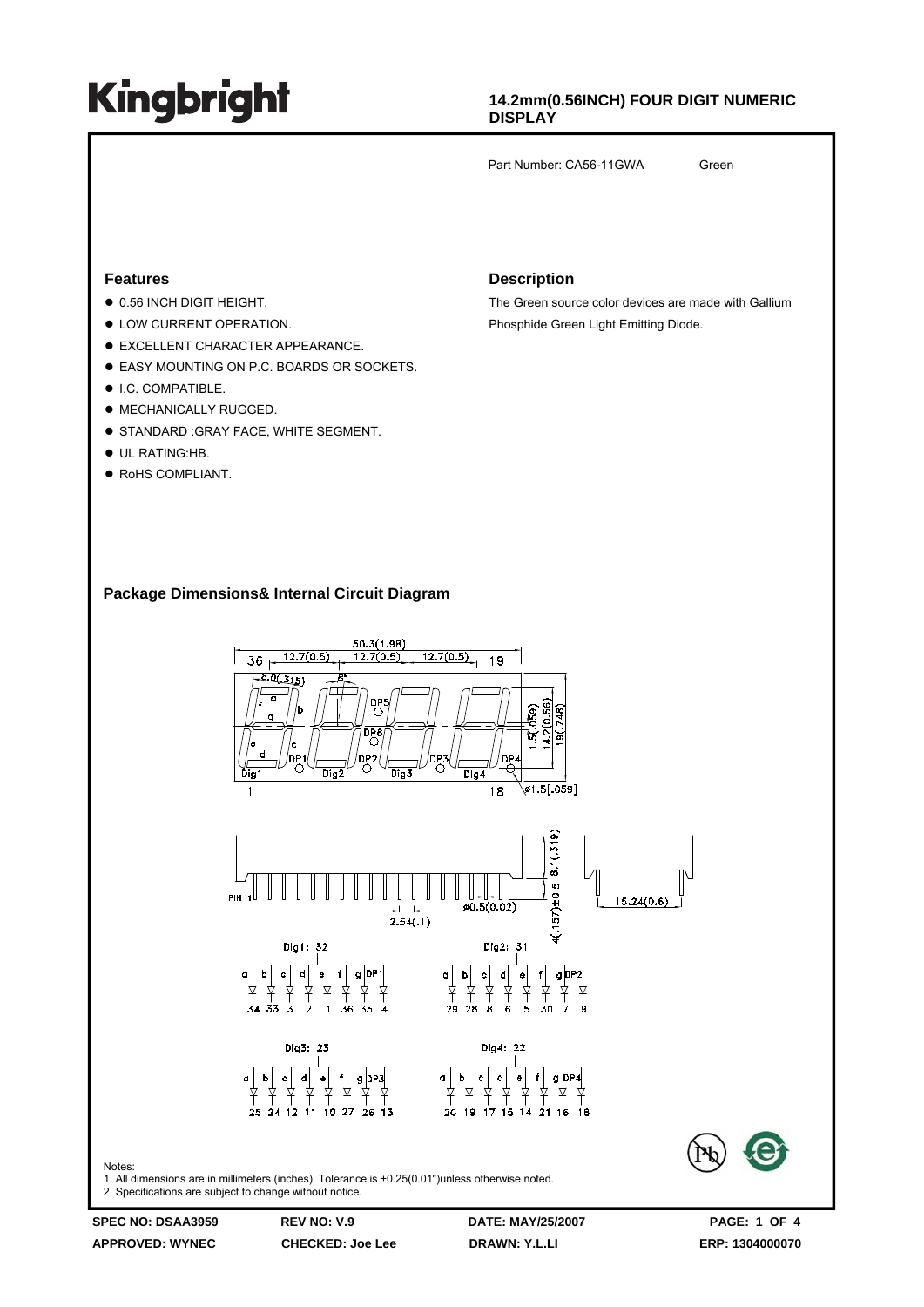### **14.2mm(0.56INCH) FOUR DIGIT NUMERIC DISPLAY**

Part Number: CA56-11GWA Green

#### **Features**

- $\bullet$  0.56 INCH DIGIT HEIGHT.
- $\bullet$  LOW CURRENT OPERATION.
- $\bullet$  EXCELLENT CHARACTER APPEARANCE.
- **EASY MOUNTING ON P.C. BOARDS OR SOCKETS.**
- $\bullet$  I.C. COMPATIBLE.
- $\bullet$  MECHANICALLY RUGGED.
- **STANDARD :GRAY FACE, WHITE SEGMENT.**
- $\bullet$  UL RATING:HB.
- RoHS COMPLIANT.

#### **Description**

The Green source color devices are made with Gallium Phosphide Green Light Emitting Diode.

#### **Package Dimensions& Internal Circuit Diagram**

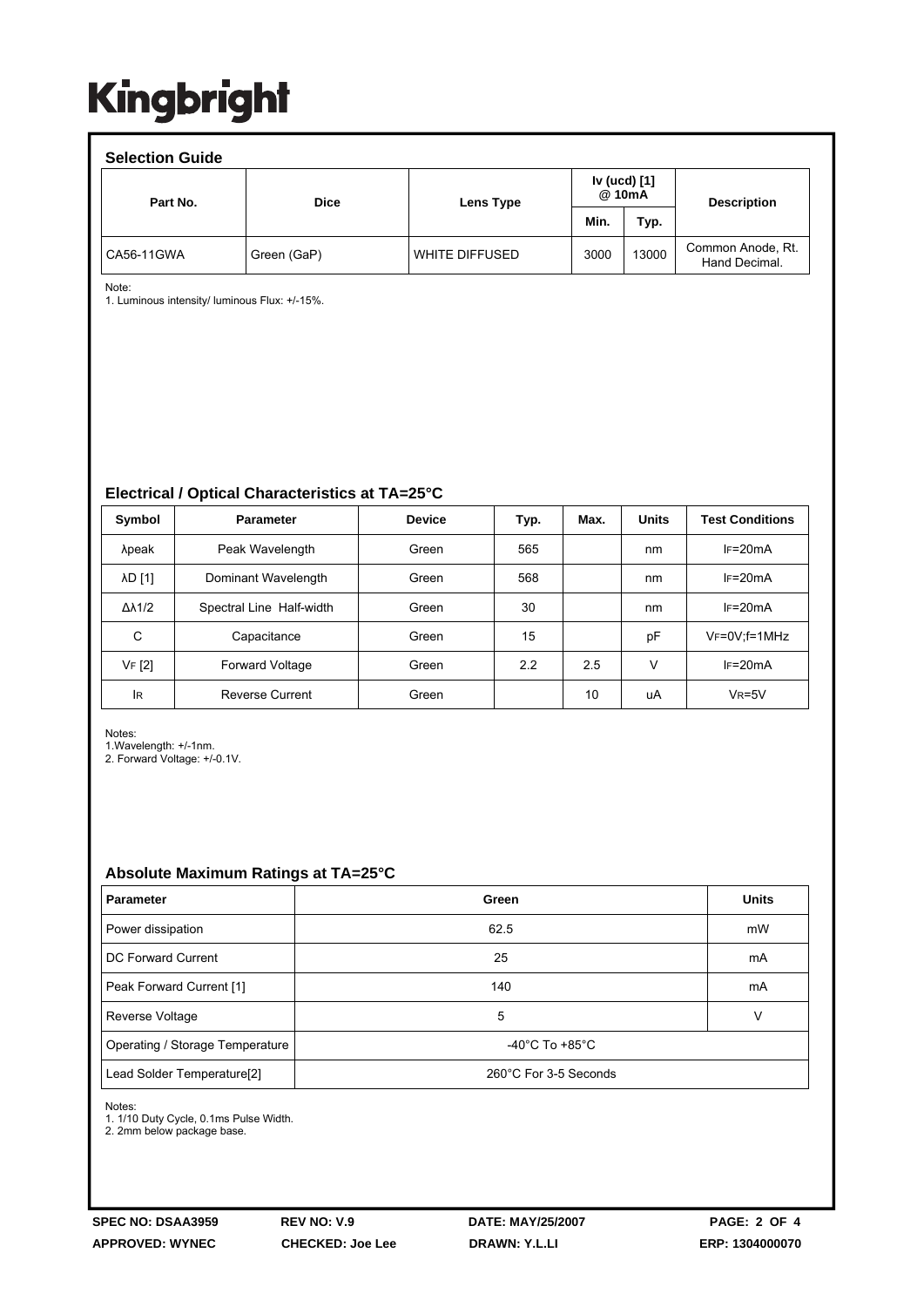| <b>Selection Guide</b> |             |                |                        |       |                                    |  |  |  |  |  |
|------------------------|-------------|----------------|------------------------|-------|------------------------------------|--|--|--|--|--|
| Part No.               | <b>Dice</b> | Lens Type      | Iv (ucd) [1]<br>@ 10mA |       | <b>Description</b>                 |  |  |  |  |  |
|                        |             |                | Min.                   | Typ.  |                                    |  |  |  |  |  |
| CA56-11GWA             | Green (GaP) | WHITE DIFFUSED | 3000                   | 13000 | Common Anode, Rt.<br>Hand Decimal. |  |  |  |  |  |

Note:

1. Luminous intensity/ luminous Flux: +/-15%.

**Electrical / Optical Characteristics at TA=25°C**

| Symbol              | <b>Parameter</b>         | <b>Device</b> | Typ. | Max. | <b>Units</b> | <b>Test Conditions</b> |
|---------------------|--------------------------|---------------|------|------|--------------|------------------------|
| λpeak               | Peak Wavelength          | Green         | 565  |      | nm           | $IF=20mA$              |
| λD [1]              | Dominant Wavelength      | Green         | 568  |      | nm           | $IF=20mA$              |
| $\Delta\lambda$ 1/2 | Spectral Line Half-width | Green         | 30   |      | nm           | $IF=20mA$              |
| С                   | Capacitance              | Green         | 15   |      | рF           | $V_F = 0V$ : f = 1MHz  |
| VF [2]              | <b>Forward Voltage</b>   | Green         | 2.2  | 2.5  | V            | $IF=20mA$              |
| lR                  | <b>Reverse Current</b>   | Green         |      | 10   | uA           | $VR=5V$                |

Notes:

1.Wavelength: +/-1nm.

2. Forward Voltage: +/-0.1V.

#### **Absolute Maximum Ratings at TA=25°C**

| <b>Parameter</b>                                    | Green                                | <b>Units</b> |  |
|-----------------------------------------------------|--------------------------------------|--------------|--|
| Power dissipation                                   | 62.5                                 | mW           |  |
| DC Forward Current                                  | 25                                   | mA           |  |
| Peak Forward Current [1]                            | 140                                  | mA           |  |
| Reverse Voltage                                     | 5                                    | v            |  |
| Operating / Storage Temperature                     | -40 $^{\circ}$ C To +85 $^{\circ}$ C |              |  |
| Lead Solder Temperature[2]<br>260°C For 3-5 Seconds |                                      |              |  |

Notes:

1. 1/10 Duty Cycle, 0.1ms Pulse Width.

2. 2mm below package base.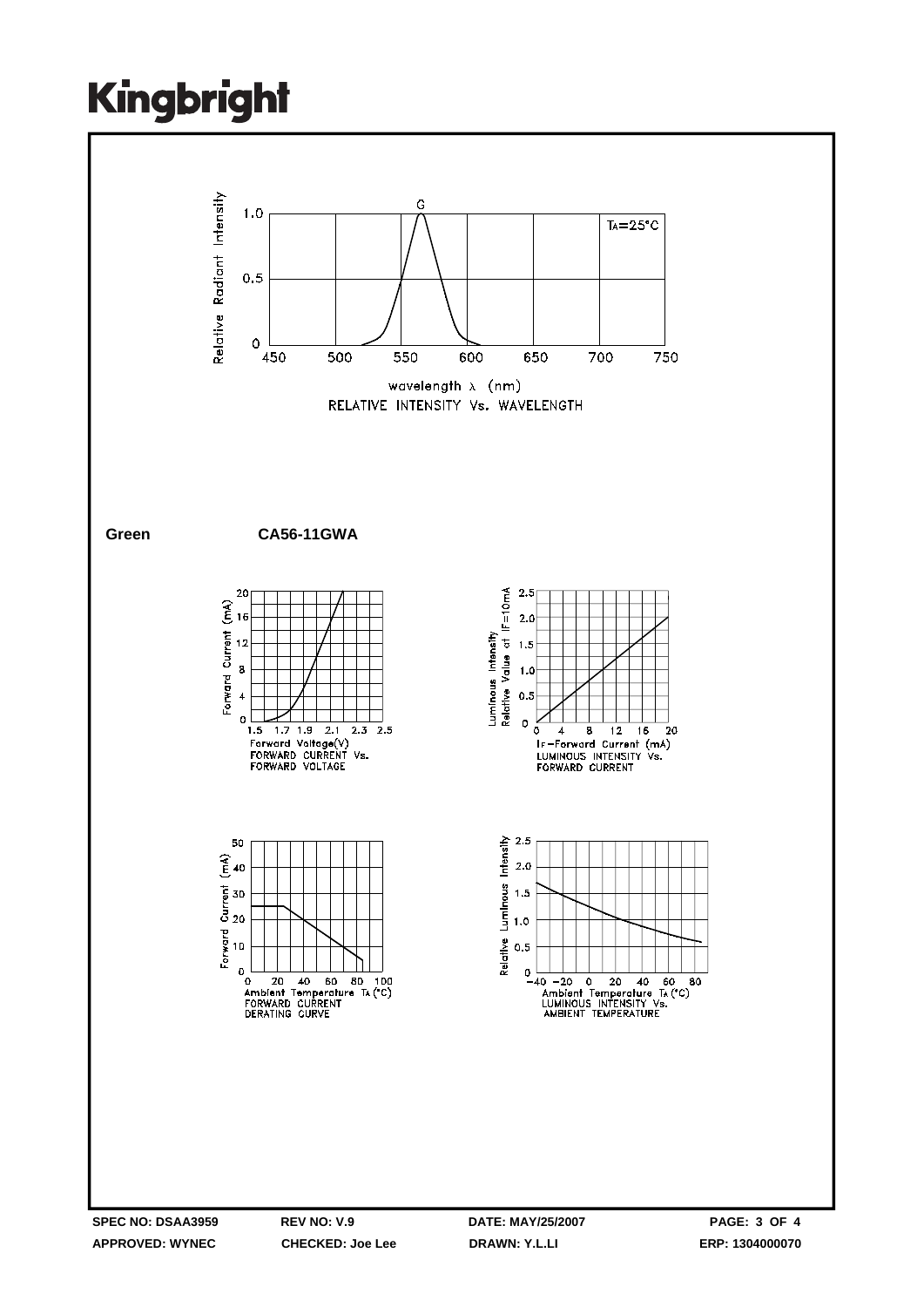